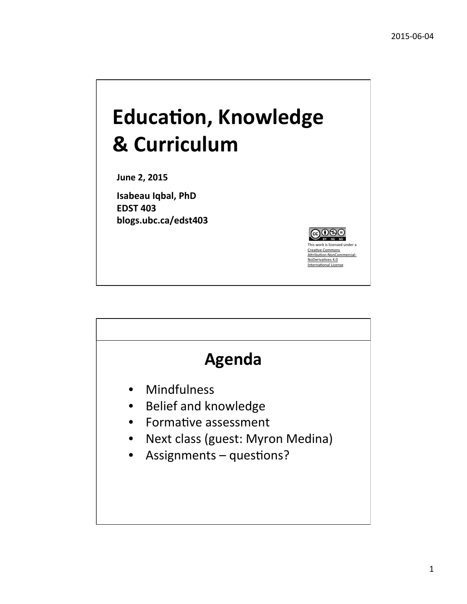## **Education, Knowledge & Curriculum**

**June 2, 2015**

**Isabeau Iqbal, PhD EDST 403 blogs.ubc.ca/edst403**



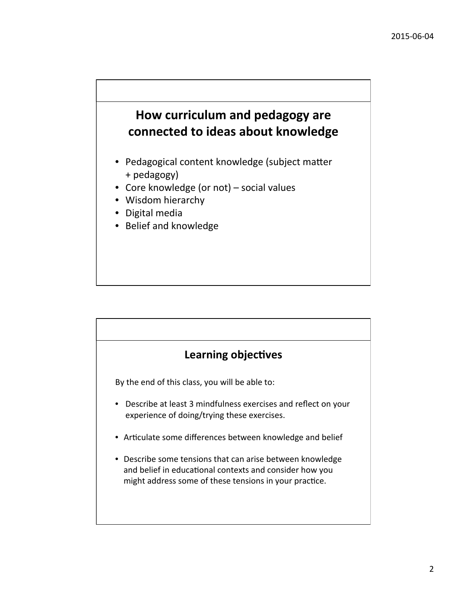#### **How curriculum and pedagogy are** connected to ideas about knowledge

- Pedagogical content knowledge (subject matter + pedagogy)
- Core knowledge (or not) social values
- Wisdom hierarchy
- Digital media
- Belief and knowledge



By the end of this class, you will be able to:

- Describe at least 3 mindfulness exercises and reflect on your experience of doing/trying these exercises.
- Articulate some differences between knowledge and belief
- Describe some tensions that can arise between knowledge and belief in educational contexts and consider how you might address some of these tensions in your practice.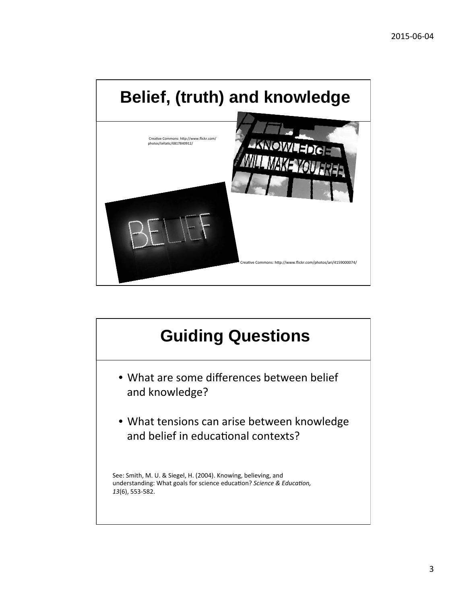

### **Guiding Questions** • What are some differences between belief and knowledge? • What tensions can arise between knowledge and belief in educational contexts? See: Smith, M. U. & Siegel, H. (2004). Knowing, believing, and understanding: What goals for science education? *Science & Education*, 13(6), 553-582.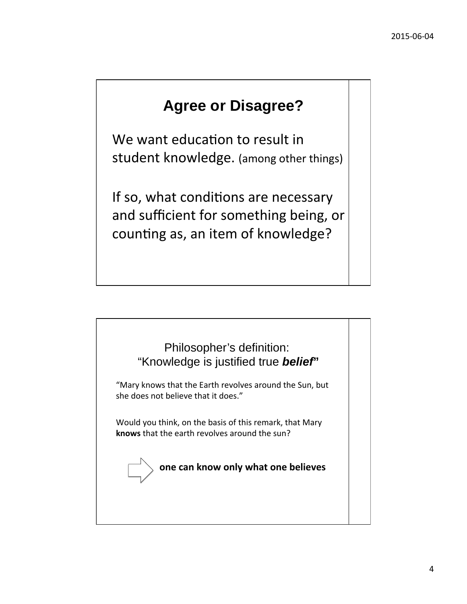### **Agree or Disagree?**

We want education to result in student knowledge. (among other things)

If so, what conditions are necessary and sufficient for something being, or counting as, an item of knowledge?

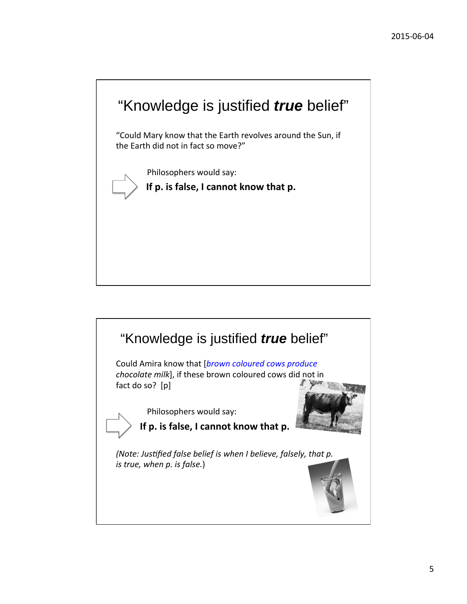

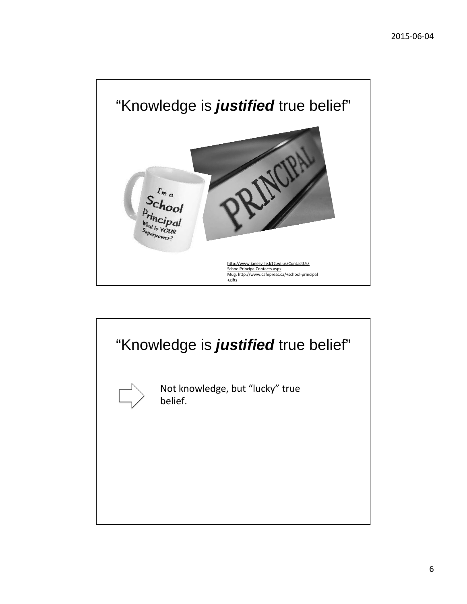

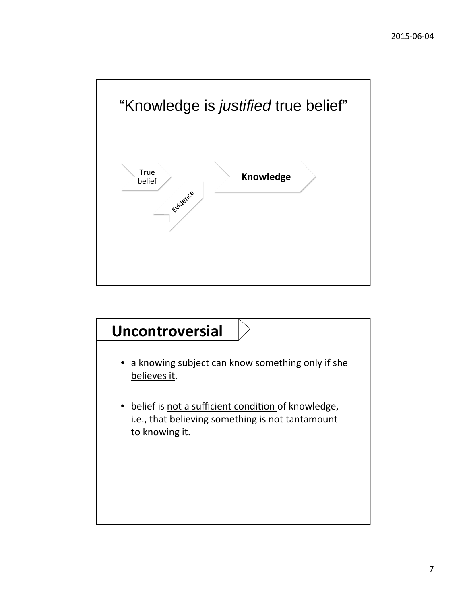

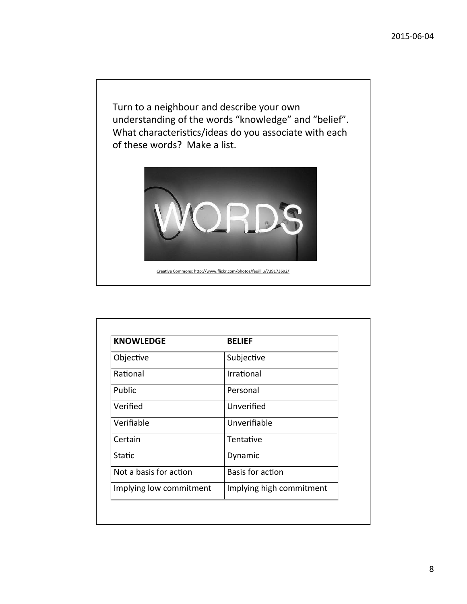Turn to a neighbour and describe your own understanding of the words "knowledge" and "belief". What characteristics/ideas do you associate with each of these words? Make a list.



Creative Commons: http://www.flickr.com/photos/feuilllu/739173692/

| <b>KNOWLEDGE</b>        | <b>BELIEF</b>            |
|-------------------------|--------------------------|
| Objective               | Subjective               |
| Rational                | Irrational               |
| Public                  | Personal                 |
| Verified                | Unverified               |
| Verifiable              | Unverifiable             |
| Certain                 | Tentative                |
| Static                  | Dynamic                  |
| Not a basis for action  | Basis for action         |
| Implying low commitment | Implying high commitment |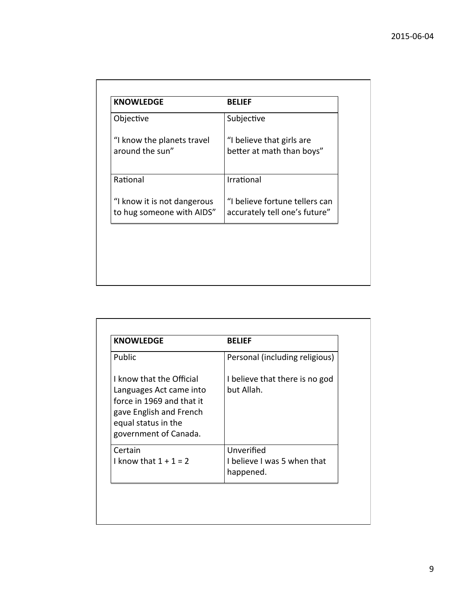| <b>KNOWLEDGE</b>            | <b>BELIEF</b>                  |
|-----------------------------|--------------------------------|
| Objective                   | Subjective                     |
| "I know the planets travel  | "I believe that girls are      |
| around the sun"             | better at math than boys"      |
|                             |                                |
| Rational                    | Irrational                     |
| "I know it is not dangerous | "I believe fortune tellers can |
| to hug someone with AIDS"   | accurately tell one's future"  |

| <b>KNOWLEDGE</b>                                                                                                                                            | <b>BELIEF</b>                                          |
|-------------------------------------------------------------------------------------------------------------------------------------------------------------|--------------------------------------------------------|
| Public                                                                                                                                                      | Personal (including religious)                         |
| I know that the Official<br>Languages Act came into<br>force in 1969 and that it<br>gave English and French<br>equal status in the<br>government of Canada. | I believe that there is no god<br>but Allah.           |
| Certain<br>I know that $1 + 1 = 2$                                                                                                                          | Unverified<br>I believe I was 5 when that<br>happened. |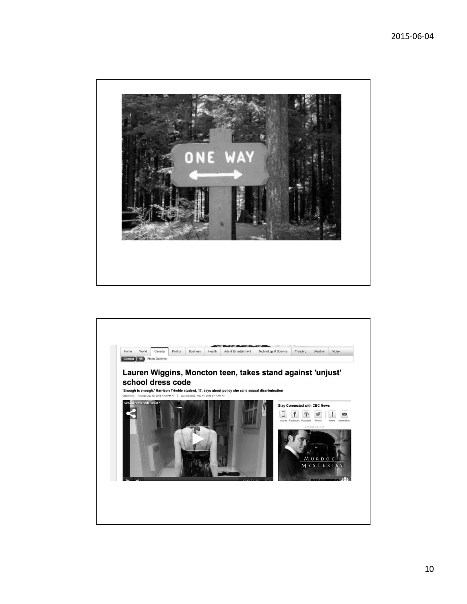

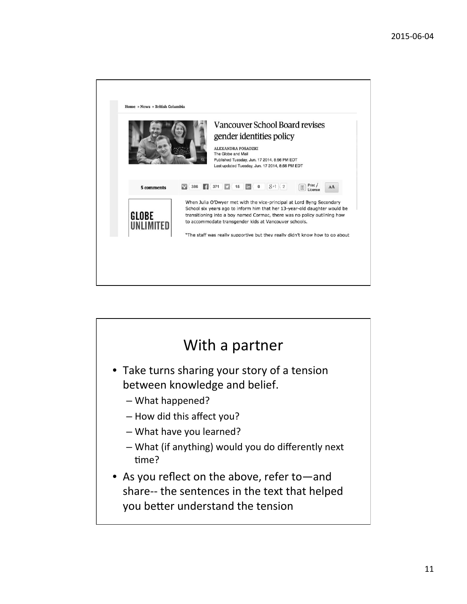